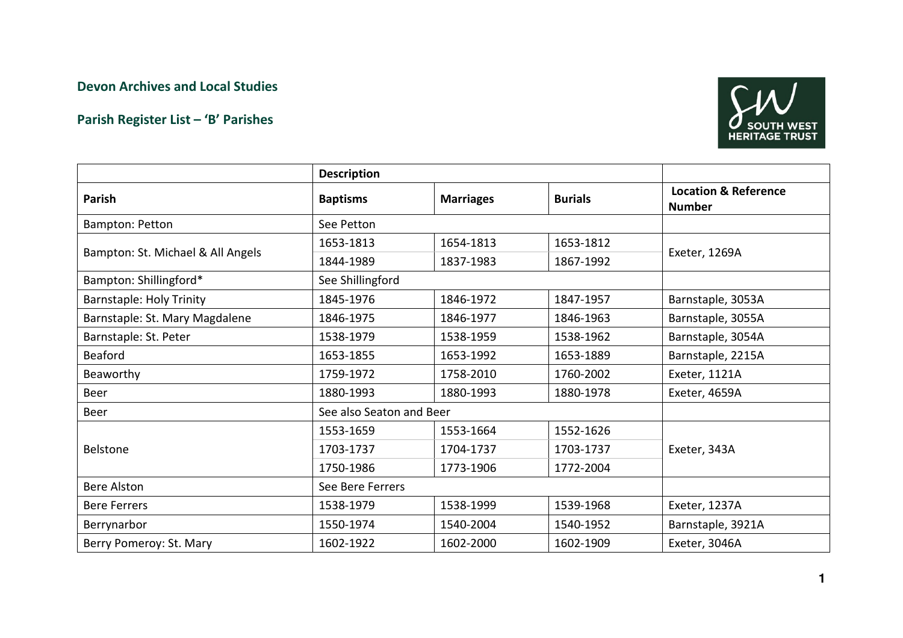## Devon Archives and Local Studies

## Parish Register List – 'B' Parishes



|                                   | <b>Description</b>       |                  |                |                                                  |
|-----------------------------------|--------------------------|------------------|----------------|--------------------------------------------------|
| Parish                            | <b>Baptisms</b>          | <b>Marriages</b> | <b>Burials</b> | <b>Location &amp; Reference</b><br><b>Number</b> |
| Bampton: Petton                   | See Petton               |                  |                |                                                  |
| Bampton: St. Michael & All Angels | 1653-1813                | 1654-1813        | 1653-1812      |                                                  |
|                                   | 1844-1989                | 1837-1983        | 1867-1992      | Exeter, 1269A                                    |
| Bampton: Shillingford*            | See Shillingford         |                  |                |                                                  |
| <b>Barnstaple: Holy Trinity</b>   | 1845-1976                | 1846-1972        | 1847-1957      | Barnstaple, 3053A                                |
| Barnstaple: St. Mary Magdalene    | 1846-1975                | 1846-1977        | 1846-1963      | Barnstaple, 3055A                                |
| Barnstaple: St. Peter             | 1538-1979                | 1538-1959        | 1538-1962      | Barnstaple, 3054A                                |
| <b>Beaford</b>                    | 1653-1855                | 1653-1992        | 1653-1889      | Barnstaple, 2215A                                |
| Beaworthy                         | 1759-1972                | 1758-2010        | 1760-2002      | Exeter, 1121A                                    |
| Beer                              | 1880-1993                | 1880-1993        | 1880-1978      | Exeter, 4659A                                    |
| <b>Beer</b>                       | See also Seaton and Beer |                  |                |                                                  |
| <b>Belstone</b>                   | 1553-1659                | 1553-1664        | 1552-1626      |                                                  |
|                                   | 1703-1737                | 1704-1737        | 1703-1737      | Exeter, 343A                                     |
|                                   | 1750-1986                | 1773-1906        | 1772-2004      |                                                  |
| <b>Bere Alston</b>                | See Bere Ferrers         |                  |                |                                                  |
| <b>Bere Ferrers</b>               | 1538-1979                | 1538-1999        | 1539-1968      | Exeter, 1237A                                    |
| Berrynarbor                       | 1550-1974                | 1540-2004        | 1540-1952      | Barnstaple, 3921A                                |
| Berry Pomeroy: St. Mary           | 1602-1922                | 1602-2000        | 1602-1909      | Exeter, 3046A                                    |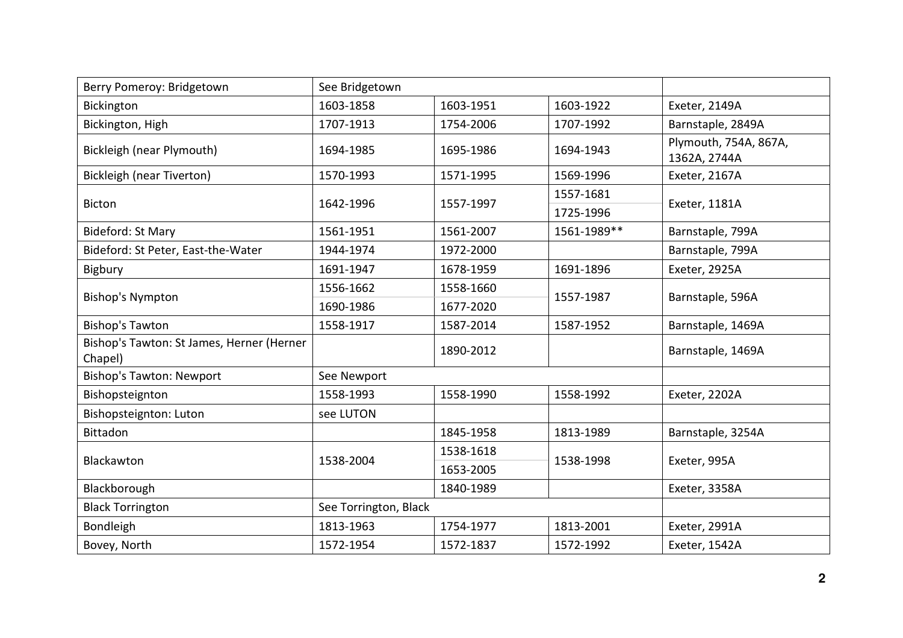| Berry Pomeroy: Bridgetown                            | See Bridgetown        |           |             |                                       |
|------------------------------------------------------|-----------------------|-----------|-------------|---------------------------------------|
| Bickington                                           | 1603-1858             | 1603-1951 | 1603-1922   | Exeter, 2149A                         |
| Bickington, High                                     | 1707-1913             | 1754-2006 | 1707-1992   | Barnstaple, 2849A                     |
| Bickleigh (near Plymouth)                            | 1694-1985             | 1695-1986 | 1694-1943   | Plymouth, 754A, 867A,<br>1362A, 2744A |
| <b>Bickleigh (near Tiverton)</b>                     | 1570-1993             | 1571-1995 | 1569-1996   | Exeter, 2167A                         |
| <b>Bicton</b>                                        | 1642-1996             | 1557-1997 | 1557-1681   | Exeter, 1181A                         |
|                                                      |                       |           | 1725-1996   |                                       |
| Bideford: St Mary                                    | 1561-1951             | 1561-2007 | 1561-1989** | Barnstaple, 799A                      |
| Bideford: St Peter, East-the-Water                   | 1944-1974             | 1972-2000 |             | Barnstaple, 799A                      |
| Bigbury                                              | 1691-1947             | 1678-1959 | 1691-1896   | Exeter, 2925A                         |
|                                                      | 1556-1662             | 1558-1660 |             | Barnstaple, 596A                      |
| <b>Bishop's Nympton</b>                              | 1690-1986             | 1677-2020 | 1557-1987   |                                       |
| <b>Bishop's Tawton</b>                               | 1558-1917             | 1587-2014 | 1587-1952   | Barnstaple, 1469A                     |
| Bishop's Tawton: St James, Herner (Herner<br>Chapel) |                       | 1890-2012 |             | Barnstaple, 1469A                     |
| <b>Bishop's Tawton: Newport</b>                      | See Newport           |           |             |                                       |
| Bishopsteignton                                      | 1558-1993             | 1558-1990 | 1558-1992   | Exeter, 2202A                         |
| Bishopsteignton: Luton                               | see LUTON             |           |             |                                       |
| <b>Bittadon</b>                                      |                       | 1845-1958 | 1813-1989   | Barnstaple, 3254A                     |
|                                                      | 1538-2004             | 1538-1618 | 1538-1998   | Exeter, 995A                          |
| Blackawton                                           |                       | 1653-2005 |             |                                       |
| Blackborough                                         |                       | 1840-1989 |             | Exeter, 3358A                         |
| <b>Black Torrington</b>                              | See Torrington, Black |           |             |                                       |
| Bondleigh                                            | 1813-1963             | 1754-1977 | 1813-2001   | Exeter, 2991A                         |
| Bovey, North                                         | 1572-1954             | 1572-1837 | 1572-1992   | Exeter, 1542A                         |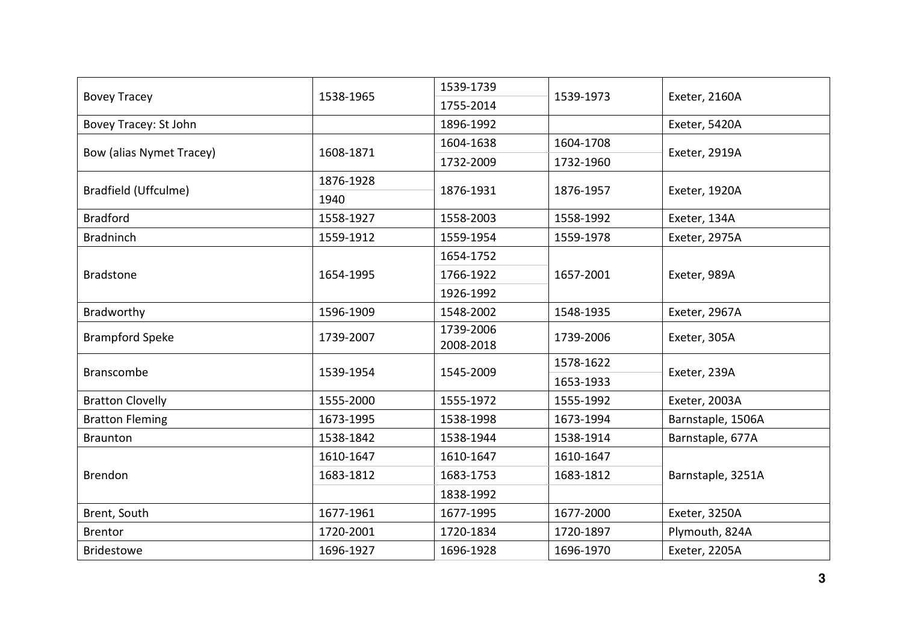| <b>Bovey Tracey</b>      | 1538-1965 | 1539-1739              | 1539-1973 | Exeter, 2160A     |
|--------------------------|-----------|------------------------|-----------|-------------------|
|                          |           | 1755-2014              |           |                   |
| Bovey Tracey: St John    |           | 1896-1992              |           | Exeter, 5420A     |
| Bow (alias Nymet Tracey) | 1608-1871 | 1604-1638              | 1604-1708 |                   |
|                          |           | 1732-2009              | 1732-1960 | Exeter, 2919A     |
|                          | 1876-1928 |                        |           | Exeter, 1920A     |
| Bradfield (Uffculme)     | 1940      | 1876-1931              | 1876-1957 |                   |
| <b>Bradford</b>          | 1558-1927 | 1558-2003              | 1558-1992 | Exeter, 134A      |
| <b>Bradninch</b>         | 1559-1912 | 1559-1954              | 1559-1978 | Exeter, 2975A     |
|                          |           | 1654-1752              |           | Exeter, 989A      |
| <b>Bradstone</b>         | 1654-1995 | 1766-1922              | 1657-2001 |                   |
|                          |           | 1926-1992              |           |                   |
| Bradworthy               | 1596-1909 | 1548-2002              | 1548-1935 | Exeter, 2967A     |
| <b>Brampford Speke</b>   | 1739-2007 | 1739-2006<br>2008-2018 | 1739-2006 | Exeter, 305A      |
|                          | 1539-1954 | 1545-2009              | 1578-1622 | Exeter, 239A      |
| <b>Branscombe</b>        |           |                        | 1653-1933 |                   |
| <b>Bratton Clovelly</b>  | 1555-2000 | 1555-1972              | 1555-1992 | Exeter, 2003A     |
| <b>Bratton Fleming</b>   | 1673-1995 | 1538-1998              | 1673-1994 | Barnstaple, 1506A |
| <b>Braunton</b>          | 1538-1842 | 1538-1944              | 1538-1914 | Barnstaple, 677A  |
| Brendon                  | 1610-1647 | 1610-1647              | 1610-1647 | Barnstaple, 3251A |
|                          | 1683-1812 | 1683-1753              | 1683-1812 |                   |
|                          |           | 1838-1992              |           |                   |
| Brent, South             | 1677-1961 | 1677-1995              | 1677-2000 | Exeter, 3250A     |
| <b>Brentor</b>           | 1720-2001 | 1720-1834              | 1720-1897 | Plymouth, 824A    |
| <b>Bridestowe</b>        | 1696-1927 | 1696-1928              | 1696-1970 | Exeter, 2205A     |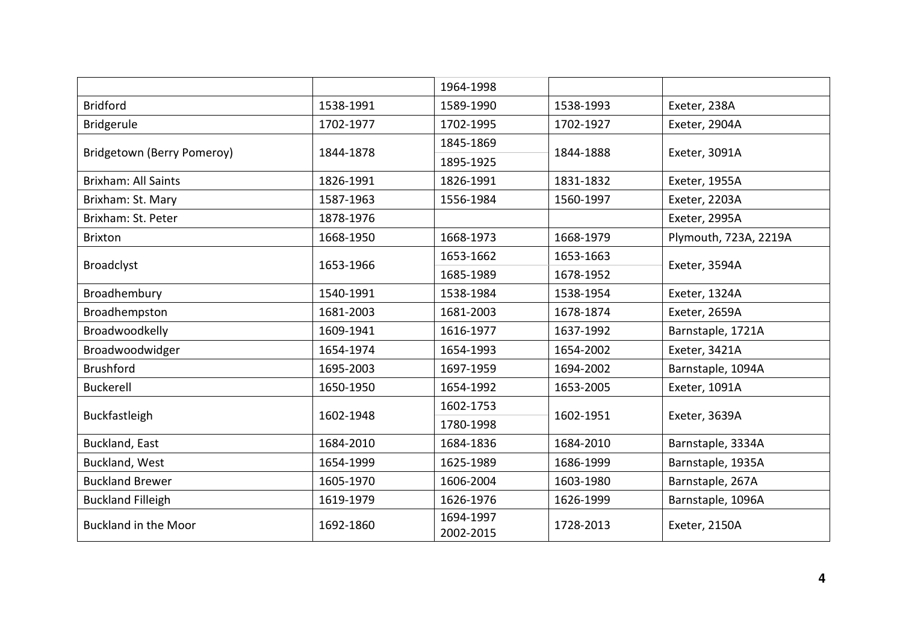|                             |           | 1964-1998 |           |                       |
|-----------------------------|-----------|-----------|-----------|-----------------------|
| <b>Bridford</b>             | 1538-1991 | 1589-1990 | 1538-1993 | Exeter, 238A          |
| Bridgerule                  | 1702-1977 | 1702-1995 | 1702-1927 | Exeter, 2904A         |
| Bridgetown (Berry Pomeroy)  |           | 1845-1869 |           |                       |
|                             | 1844-1878 | 1895-1925 | 1844-1888 | Exeter, 3091A         |
| <b>Brixham: All Saints</b>  | 1826-1991 | 1826-1991 | 1831-1832 | Exeter, 1955A         |
| Brixham: St. Mary           | 1587-1963 | 1556-1984 | 1560-1997 | Exeter, 2203A         |
| Brixham: St. Peter          | 1878-1976 |           |           | Exeter, 2995A         |
| <b>Brixton</b>              | 1668-1950 | 1668-1973 | 1668-1979 | Plymouth, 723A, 2219A |
|                             | 1653-1966 | 1653-1662 | 1653-1663 |                       |
| <b>Broadclyst</b>           |           | 1685-1989 | 1678-1952 | Exeter, 3594A         |
| Broadhembury                | 1540-1991 | 1538-1984 | 1538-1954 | Exeter, 1324A         |
| Broadhempston               | 1681-2003 | 1681-2003 | 1678-1874 | Exeter, 2659A         |
| Broadwoodkelly              | 1609-1941 | 1616-1977 | 1637-1992 | Barnstaple, 1721A     |
| Broadwoodwidger             | 1654-1974 | 1654-1993 | 1654-2002 | Exeter, 3421A         |
| <b>Brushford</b>            | 1695-2003 | 1697-1959 | 1694-2002 | Barnstaple, 1094A     |
| <b>Buckerell</b>            | 1650-1950 | 1654-1992 | 1653-2005 | Exeter, 1091A         |
| Buckfastleigh               | 1602-1948 | 1602-1753 | 1602-1951 |                       |
|                             |           | 1780-1998 |           | Exeter, 3639A         |
| Buckland, East              | 1684-2010 | 1684-1836 | 1684-2010 | Barnstaple, 3334A     |
| Buckland, West              | 1654-1999 | 1625-1989 | 1686-1999 | Barnstaple, 1935A     |
| <b>Buckland Brewer</b>      | 1605-1970 | 1606-2004 | 1603-1980 | Barnstaple, 267A      |
| <b>Buckland Filleigh</b>    | 1619-1979 | 1626-1976 | 1626-1999 | Barnstaple, 1096A     |
| <b>Buckland in the Moor</b> | 1692-1860 | 1694-1997 | 1728-2013 | Exeter, 2150A         |
|                             |           | 2002-2015 |           |                       |